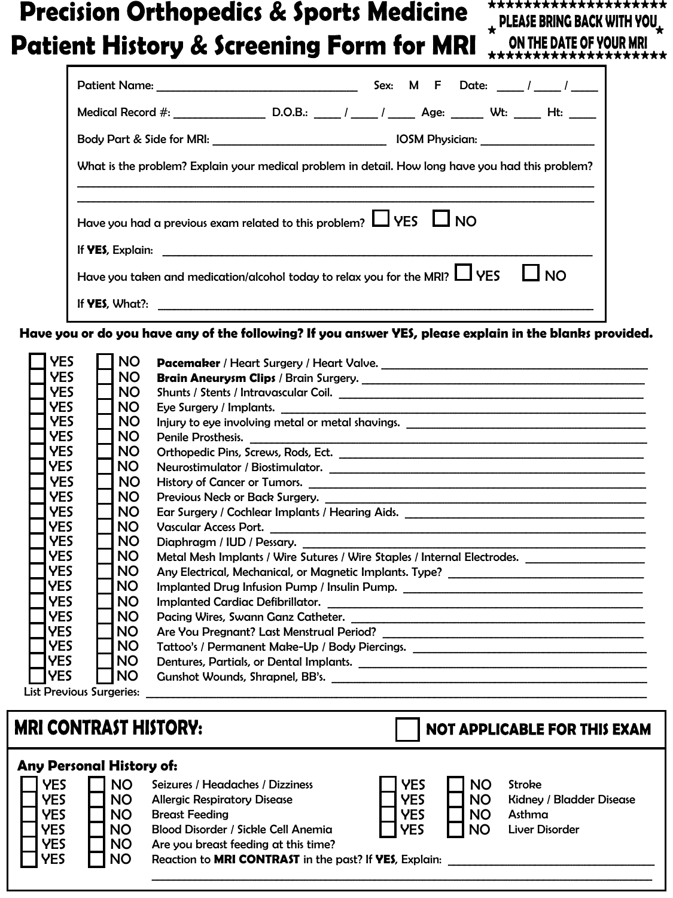## **Precision Orthopedics & Sports Medicine Patient History & Screening Form for MRI**

**EXELGIVE BRING BACK WITH YOU.**<br>ON THE DATE OF YOUR MRI **\*\*\*\*\*\*\*\*\*\*\*\*\*\*\*\*\*\*\*\***

**\*\*\*\*\*\*\*\*\*\*\*\*\*\*\*\*\*\*\*\***

| Patient Name:                                                                                    | Sex: M F Date: 1 / |  |  |  |
|--------------------------------------------------------------------------------------------------|--------------------|--|--|--|
|                                                                                                  |                    |  |  |  |
|                                                                                                  |                    |  |  |  |
| What is the problem? Explain your medical problem in detail. How long have you had this problem? |                    |  |  |  |
|                                                                                                  |                    |  |  |  |
| Have you had a previous exam related to this problem? $\Box$ YES $\Box$ NO                       |                    |  |  |  |
|                                                                                                  |                    |  |  |  |
| Have you taken and medication/alcohol today to relax you for the MRI? $\Box$ YES $\Box$ NO       |                    |  |  |  |
|                                                                                                  |                    |  |  |  |

Have you or do you have any of the following? If you answer YES, please explain in the blanks provided.

| YES                             | <b>NO</b> |                                                                                                     |
|---------------------------------|-----------|-----------------------------------------------------------------------------------------------------|
| <b>YES</b>                      | NO.       | Brain Aneurysm Clips / Brain Surgery.                                                               |
| <b>YES</b>                      | NO.       |                                                                                                     |
| <b>YES</b>                      | NO.       |                                                                                                     |
| <b>YES</b>                      | <b>NO</b> |                                                                                                     |
| <b>YES</b>                      | NO.       | Penile Prosthesis.                                                                                  |
| <b>YES</b>                      | <b>NO</b> |                                                                                                     |
| <b>YES</b>                      | NO.       |                                                                                                     |
| <b>YES</b>                      | NO.       | History of Cancer or Tumors.                                                                        |
| <b>YES</b>                      | <b>NO</b> |                                                                                                     |
| <b>YES</b>                      | NO.       |                                                                                                     |
| <b>YES</b>                      | NO.       | Vascular Access Port.                                                                               |
| <b>YES</b>                      | NO.       |                                                                                                     |
| <b>YES</b>                      | <b>NO</b> | Metal Mesh Implants / Wire Sutures / Wire Staples / Internal Electrodes. __________________________ |
| <b>YES</b>                      | NO.       | Any Electrical, Mechanical, or Magnetic Implants. Type? _________________________                   |
| <b>IYES</b>                     | <b>NO</b> | Implanted Drug Infusion Pump / Insulin Pump. ___________________________________                    |
| <b>YES</b>                      | <b>NO</b> |                                                                                                     |
| <b>YES</b>                      | NO.       | Pacing Wires, Swann Ganz Catheter.                                                                  |
| <b>IYES</b>                     | <b>NO</b> |                                                                                                     |
| <b>IYES</b>                     | NO.       | Tattoo's / Permanent Make-Up / Body Piercings. _________________________________                    |
| <b>IYES</b>                     | NO.       |                                                                                                     |
| <b>YES</b>                      | <b>NO</b> |                                                                                                     |
| <b>List Previous Surgeries:</b> |           |                                                                                                     |

## **MRI CONTRAST HISTORY:**

**NOT APPLICABLE FOR THIS EXAM** 

| <b>Any Personal History of:</b>                                                  |                                                                            |                                                                                                                                                                                                                                           |                                                      |                                                  |                                                                       |
|----------------------------------------------------------------------------------|----------------------------------------------------------------------------|-------------------------------------------------------------------------------------------------------------------------------------------------------------------------------------------------------------------------------------------|------------------------------------------------------|--------------------------------------------------|-----------------------------------------------------------------------|
| <b>YES</b><br><b>YES</b><br><b>YES</b><br><b>YES</b><br><b>YES</b><br><b>YES</b> | <b>NO</b><br><b>NO</b><br><b>NO</b><br><b>NO</b><br><b>NO</b><br><b>NO</b> | Seizures / Headaches / Dizziness<br><b>Allergic Respiratory Disease</b><br><b>Breast Feeding</b><br>Blood Disorder / Sickle Cell Anemia<br>Are you breast feeding at this time?<br>Reaction to MRI CONTRAST in the past? If YES, Explain: | <b>YES</b><br><b>YES</b><br><b>YES</b><br><b>YES</b> | <b>NO</b><br><b>NO</b><br><b>NO</b><br><b>NO</b> | Stroke<br><b>Kidney / Bladder Disease</b><br>Asthma<br>Liver Disorder |
|                                                                                  |                                                                            |                                                                                                                                                                                                                                           |                                                      |                                                  |                                                                       |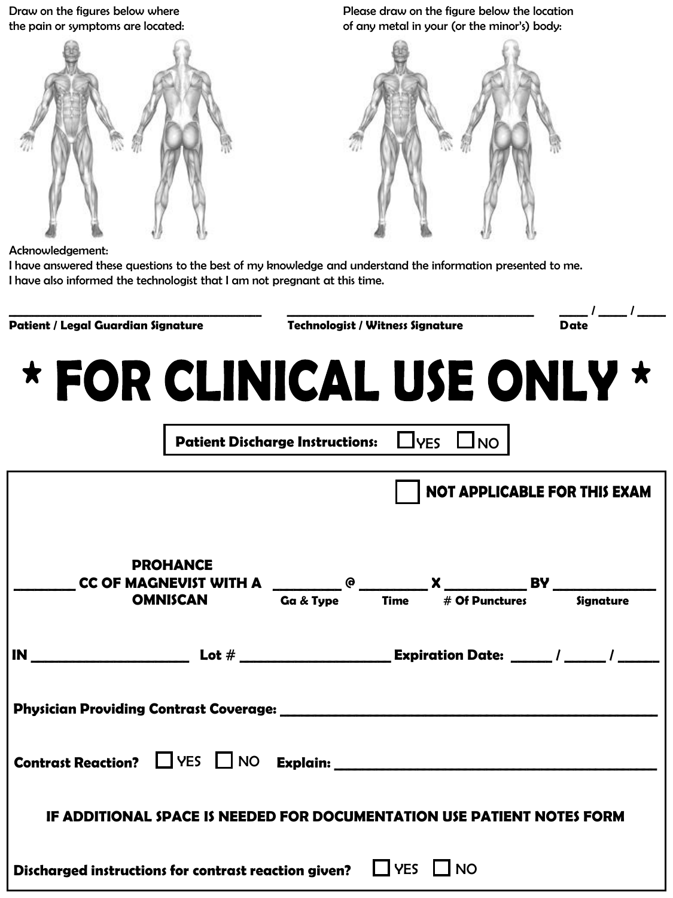Draw on the figures below where the pain or symptoms are located:



Please draw on the figure below the location of any metal in your (or the minor's) body:



Acknowledgement:

I have answered these questions to the best of my knowledge and understand the information presented to me. I have also informed the technologist that I am not pregnant at this time.

| Patient / Legal Guardian Signature                                                                                                                                                                                                       |  | <b>Technologist / Witness Signature</b> |                                                      | $\frac{1}{\text{Date}}$ $\frac{1}{\text{Date}}$ |  |
|------------------------------------------------------------------------------------------------------------------------------------------------------------------------------------------------------------------------------------------|--|-----------------------------------------|------------------------------------------------------|-------------------------------------------------|--|
| * FOR CLINICAL USE ONLY *                                                                                                                                                                                                                |  |                                         | Patient Discharge Instructions: $\Box$ YES $\Box$ NO |                                                 |  |
|                                                                                                                                                                                                                                          |  |                                         |                                                      | <b>NOT APPLICABLE FOR THIS EXAM</b>             |  |
| <b>PROHANCE</b><br><b>CC OF MAGNEVIST WITH A</b> $Q_{\text{G$\alpha$}} \& = \frac{1}{\text{Time}} \times \frac{1}{\text{Time}}$ <b>BY</b> $Q_{\text{H}}$ $\qquad \qquad \text{S}\& = \frac{1}{\text{Time}} \times \frac{1}{\text{Time}}$ |  |                                         |                                                      |                                                 |  |
|                                                                                                                                                                                                                                          |  |                                         |                                                      |                                                 |  |
|                                                                                                                                                                                                                                          |  |                                         |                                                      |                                                 |  |
|                                                                                                                                                                                                                                          |  |                                         |                                                      |                                                 |  |
| IF ADDITIONAL SPACE IS NEEDED FOR DOCUMENTATION USE PATIENT NOTES FORM                                                                                                                                                                   |  |                                         |                                                      |                                                 |  |
| Discharged instructions for contrast reaction given? $\Box$ YES $\Box$ NO                                                                                                                                                                |  |                                         |                                                      |                                                 |  |